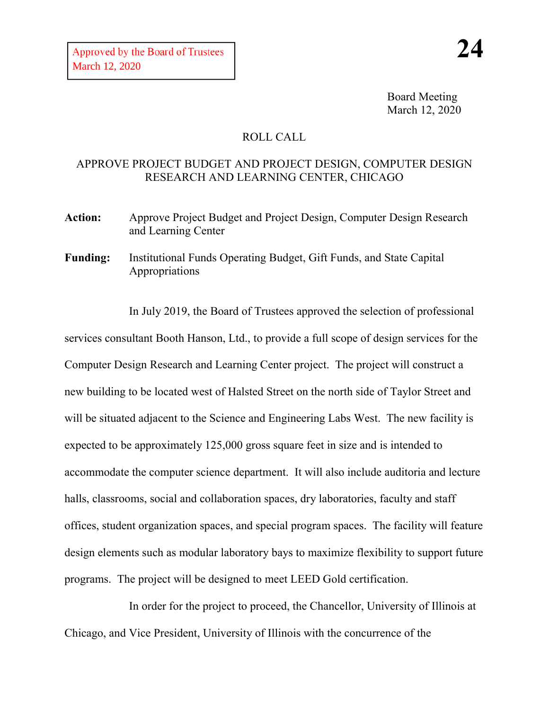Board Meeting March 12, 2020

## ROLL CALL

## APPROVE PROJECT BUDGET AND PROJECT DESIGN, COMPUTER DESIGN RESEARCH AND LEARNING CENTER, CHICAGO

- **Action:** Approve Project Budget and Project Design, Computer Design Research and Learning Center
- **Funding:** Institutional Funds Operating Budget, Gift Funds, and State Capital Appropriations

In July 2019, the Board of Trustees approved the selection of professional services consultant Booth Hanson, Ltd., to provide a full scope of design services for the Computer Design Research and Learning Center project. The project will construct a new building to be located west of Halsted Street on the north side of Taylor Street and will be situated adjacent to the Science and Engineering Labs West. The new facility is expected to be approximately 125,000 gross square feet in size and is intended to accommodate the computer science department. It will also include auditoria and lecture halls, classrooms, social and collaboration spaces, dry laboratories, faculty and staff offices, student organization spaces, and special program spaces. The facility will feature design elements such as modular laboratory bays to maximize flexibility to support future programs. The project will be designed to meet LEED Gold certification.

In order for the project to proceed, the Chancellor, University of Illinois at Chicago, and Vice President, University of Illinois with the concurrence of the